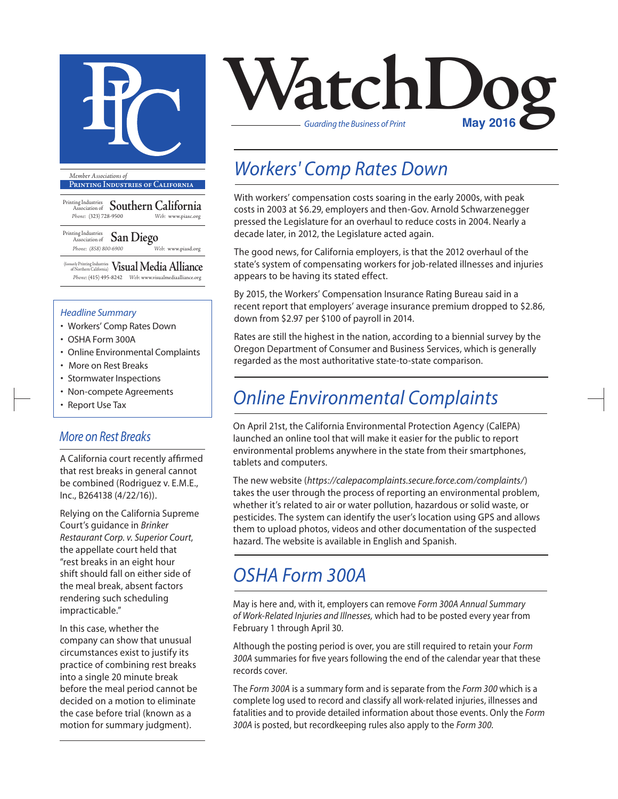

**Printing Industries of California**

Printing Industries Association of **Southern California** *Phone:* (323) 728-9500 *Web:* www.piasc.org

Printing Industries Association of **San Diego** *Phone: (858) 800-6900 Web:* www.piasd.org

(formerly Printing Industries of Northern California) **Visual Media Alliance** *Phone:* (415) 495-8242 *Web:* www.visualmediaalliance.org

#### *Headline Summary*

- Workers' Comp Rates Down
- OSHA Form 300A
- Online Environmental Complaints
- More on Rest Breaks
- Stormwater Inspections
- Non-compete Agreements
- Report Use Tax

### *More on Rest Breaks*

A California court recently affirmed that rest breaks in general cannot be combined (Rodriguez v. E.M.E., Inc., B264138 (4/22/16)).

Relying on the California Supreme Court's guidance in *Brinker Restaurant Corp. v. Superior Court*, the appellate court held that "rest breaks in an eight hour shift should fall on either side of the meal break, absent factors rendering such scheduling impracticable."

In this case, whether the company can show that unusual circumstances exist to justify its practice of combining rest breaks into a single 20 minute break before the meal period cannot be decided on a motion to eliminate the case before trial (known as a motion for summary judgment).



## *Workers' Comp Rates Down*

With workers' compensation costs soaring in the early 2000s, with peak costs in 2003 at \$6.29, employers and then-Gov. Arnold Schwarzenegger pressed the Legislature for an overhaul to reduce costs in 2004. Nearly a decade later, in 2012, the Legislature acted again.

The good news, for California employers, is that the 2012 overhaul of the state's system of compensating workers for job-related illnesses and injuries appears to be having its stated effect.

By 2015, the Workers' Compensation Insurance Rating Bureau said in a recent report that employers' average insurance premium dropped to \$2.86, down from \$2.97 per \$100 of payroll in 2014.

Rates are still the highest in the nation, according to a biennial survey by the Oregon Department of Consumer and Business Services, which is generally regarded as the most authoritative state-to-state comparison.

## *Online Environmental Complaints*

On April 21st, the California Environmental Protection Agency (CalEPA) launched an online tool that will make it easier for the public to report environmental problems anywhere in the state from their smartphones, tablets and computers.

The new website (*https://calepacomplaints.secure.force.com/complaints/*) takes the user through the process of reporting an environmental problem, whether it's related to air or water pollution, hazardous or solid waste, or pesticides. The system can identify the user's location using GPS and allows them to upload photos, videos and other documentation of the suspected hazard. The website is available in English and Spanish.

### *OSHA Form 300A*

May is here and, with it, employers can remove *Form 300A Annual Summary of Work-Related Injuries and Illnesses,* which had to be posted every year from February 1 through April 30.

Although the posting period is over, you are still required to retain your *Form 300A* summaries for five years following the end of the calendar year that these records cover.

The *Form 300A* is a summary form and is separate from the *Form 300* which is a complete log used to record and classify all work-related injuries, illnesses and fatalities and to provide detailed information about those events. Only the *Form 300A* is posted, but recordkeeping rules also apply to the *Form 300*.